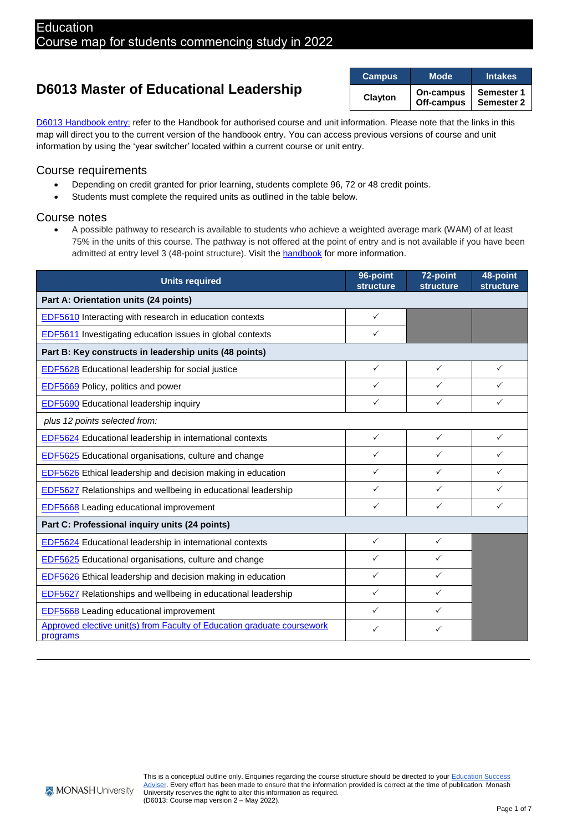# **D6013 Master of Educational Leadership**

| <b>Campus</b> | Mode                    | <b>Intakes</b>                  |
|---------------|-------------------------|---------------------------------|
| Clayton       | On-campus<br>Off-campus | <b>Semester 1</b><br>Semester 2 |

D6013 [Handbook entry:](https://handbook.monash.edu/current/courses/D6013) refer to the Handbook for authorised course and unit information. Please note that the links in this map will direct you to the current version of the handbook entry. You can access previous versions of course and unit information by using the 'year switcher' located within a current course or unit entry.

### Course requirements

- Depending on credit granted for prior learning, students complete 96, 72 or 48 credit points.
- Students must complete the required units as outlined in the table below.

### Course notes

• A possible pathway to research is available to students who achieve a weighted average mark (WAM) of at least 75% in the units of this course. The pathway is not offered at the point of entry and is not available if you have been admitted at entry level 3 (48-point structure). Visit th[e handbook](https://handbook.monash.edu/currentcourses/D6013) for more information.

| <b>Units required</b>                                                               | 96-point<br><b>structure</b> | 72-point<br><b>structure</b> | 48-point<br><b>structure</b> |
|-------------------------------------------------------------------------------------|------------------------------|------------------------------|------------------------------|
| Part A: Orientation units (24 points)                                               |                              |                              |                              |
| <b>EDF5610</b> Interacting with research in education contexts                      | ✓                            |                              |                              |
| <b>EDF5611</b> Investigating education issues in global contexts                    | ✓                            |                              |                              |
| Part B: Key constructs in leadership units (48 points)                              |                              |                              |                              |
| EDF5628 Educational leadership for social justice                                   | $\checkmark$                 | $\checkmark$                 | $\checkmark$                 |
| <b>EDF5669</b> Policy, politics and power                                           | ✓                            | ✓                            | ✓                            |
| <b>EDF5690</b> Educational leadership inquiry                                       | ✓                            | ✓                            | ✓                            |
| plus 12 points selected from:                                                       |                              |                              |                              |
| <b>EDF5624</b> Educational leadership in international contexts                     | $\checkmark$                 | $\checkmark$                 | $\checkmark$                 |
| <b>EDF5625</b> Educational organisations, culture and change                        | ✓                            | ✓                            | ✓                            |
| EDF5626 Ethical leadership and decision making in education                         | ✓                            | ✓                            | ✓                            |
| <b>EDF5627</b> Relationships and wellbeing in educational leadership                | $\checkmark$                 | $\checkmark$                 | $\checkmark$                 |
| <b>EDF5668</b> Leading educational improvement                                      | ✓                            | ✓                            | $\checkmark$                 |
| Part C: Professional inquiry units (24 points)                                      |                              |                              |                              |
| <b>EDF5624</b> Educational leadership in international contexts                     | $\checkmark$                 | ✓                            |                              |
| <b>EDF5625</b> Educational organisations, culture and change                        | ✓                            | ✓                            |                              |
| <b>EDF5626</b> Ethical leadership and decision making in education                  | ✓                            | ✓                            |                              |
| EDF5627 Relationships and wellbeing in educational leadership                       | ✓                            | ✓                            |                              |
| <b>EDF5668</b> Leading educational improvement                                      | ✓                            | ✓                            |                              |
| Approved elective unit(s) from Faculty of Education graduate coursework<br>programs | ✓                            | ✓                            |                              |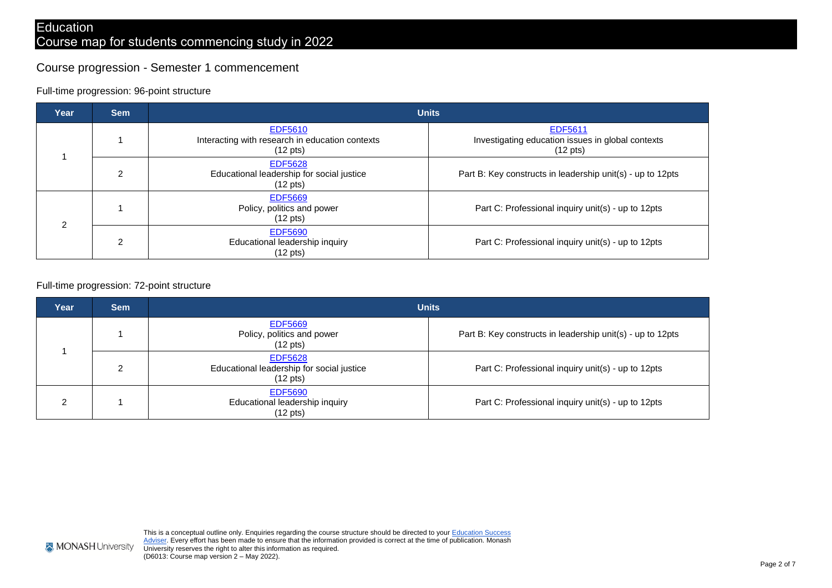### Course progression - Semester 1 commencement

#### Full-time progression: 96-point structure

| Year | <b>Sem</b>     | <b>Units</b>                                                                            |                                                                                           |
|------|----------------|-----------------------------------------------------------------------------------------|-------------------------------------------------------------------------------------------|
|      |                | <b>EDF5610</b><br>Interacting with research in education contexts<br>$(12 \text{ pts})$ | <b>EDF5611</b><br>Investigating education issues in global contexts<br>$(12 \text{ pts})$ |
|      | $\overline{2}$ | <b>EDF5628</b><br>Educational leadership for social justice<br>$(12 \text{ pts})$       | Part B: Key constructs in leadership unit(s) - up to 12pts                                |
| ◠    |                | <b>EDF5669</b><br>Policy, politics and power<br>$(12 \text{ pts})$                      | Part C: Professional inquiry unit(s) - up to 12pts                                        |
|      | $\mathcal{P}$  | <b>EDF5690</b><br>Educational leadership inquiry<br>(12 pts)                            | Part C: Professional inquiry unit(s) - up to 12pts                                        |

#### Full-time progression: 72-point structure

| Year | <b>Sem</b> |                                                                                   | <b>Units</b>                                               |
|------|------------|-----------------------------------------------------------------------------------|------------------------------------------------------------|
|      |            | <b>EDF5669</b><br>Policy, politics and power<br>$(12 \text{ pts})$                | Part B: Key constructs in leadership unit(s) - up to 12pts |
|      | 2          | <b>EDF5628</b><br>Educational leadership for social justice<br>$(12 \text{ pts})$ | Part C: Professional inquiry unit(s) - up to 12pts         |
| ົ    |            | <b>EDF5690</b><br>Educational leadership inquiry<br>$(12 \text{ pts})$            | Part C: Professional inquiry unit(s) - up to 12pts         |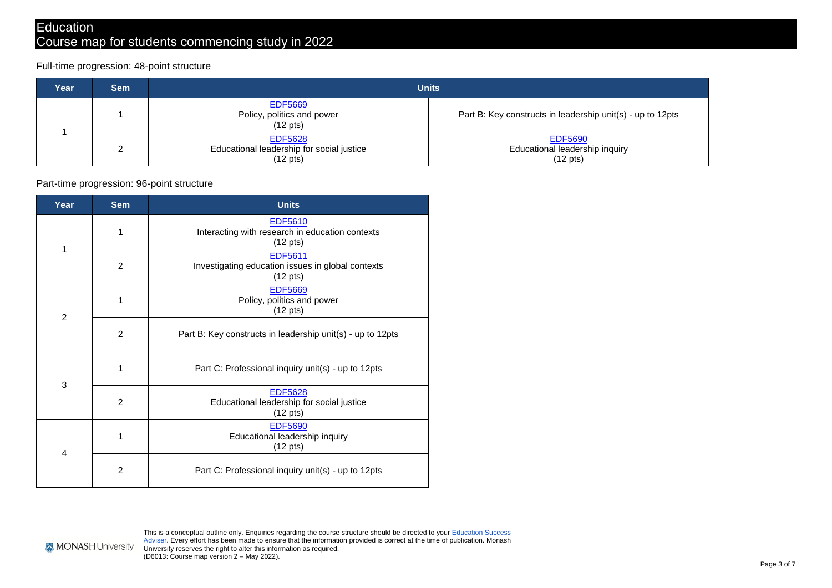## **Education**

# Course map for students commencing study in 2022

Full-time progression: 48-point structure

| Year | <b>Sem</b> |                                                                                   | <b>Units</b>                                                           |
|------|------------|-----------------------------------------------------------------------------------|------------------------------------------------------------------------|
|      |            | <b>EDF5669</b><br>Policy, politics and power<br>$(12 \text{ pts})$                | Part B: Key constructs in leadership unit(s) - up to 12pts             |
|      | ◠          | <b>EDF5628</b><br>Educational leadership for social justice<br>$(12 \text{ pts})$ | <b>EDF5690</b><br>Educational leadership inquiry<br>$(12 \text{ pts})$ |

### Part-time progression: 96-point structure

| Year           | <b>Sem</b>     | <b>Units</b>                                                                              |
|----------------|----------------|-------------------------------------------------------------------------------------------|
| 1              | 1              | EDF5610<br>Interacting with research in education contexts<br>$(12 \text{ pts})$          |
|                | $\overline{2}$ | <b>EDF5611</b><br>Investigating education issues in global contexts<br>$(12 \text{ pts})$ |
| $\overline{2}$ | 1              | <b>EDF5669</b><br>Policy, politics and power<br>$(12 \text{ pts})$                        |
|                | 2              | Part B: Key constructs in leadership unit(s) - up to 12pts                                |
| 3              | 1              | Part C: Professional inquiry unit(s) - up to 12pts                                        |
|                | 2              | <b>EDF5628</b><br>Educational leadership for social justice<br>$(12 \text{ pts})$         |
| 4              | 1              | <b>EDF5690</b><br>Educational leadership inquiry<br>$(12 \text{ pts})$                    |
|                | $\overline{2}$ | Part C: Professional inquiry unit(s) - up to 12pts                                        |

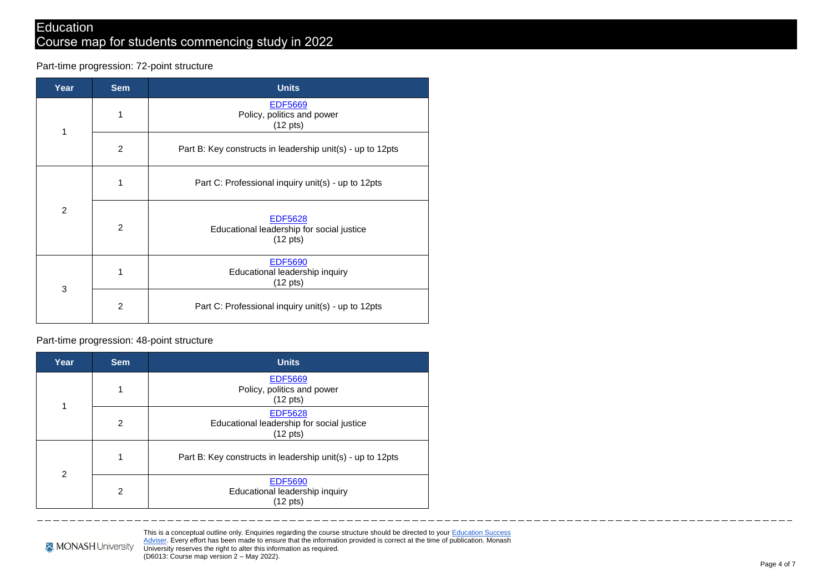Part-time progression: 72-point structure

| Year | <b>Sem</b>     | <b>Units</b>                                                                      |
|------|----------------|-----------------------------------------------------------------------------------|
|      | 1              | <b>EDF5669</b><br>Policy, politics and power<br>$(12 \text{ pts})$                |
| 1    | $\overline{2}$ | Part B: Key constructs in leadership unit(s) - up to 12pts                        |
|      | 1              | Part C: Professional inquiry unit(s) - up to 12pts                                |
| 2    | $\overline{2}$ | <b>EDF5628</b><br>Educational leadership for social justice<br>$(12 \text{ pts})$ |
| 3    | 1              | <b>EDF5690</b><br>Educational leadership inquiry<br>$(12 \text{ pts})$            |
|      | $\overline{2}$ | Part C: Professional inquiry unit(s) - up to 12pts                                |

Part-time progression: 48-point structure

| Year          | <b>Sem</b>     | <b>Units</b>                                                                      |
|---------------|----------------|-----------------------------------------------------------------------------------|
|               |                | <b>EDF5669</b><br>Policy, politics and power<br>$(12 \text{ pts})$                |
|               | 2              | <b>EDF5628</b><br>Educational leadership for social justice<br>$(12 \text{ pts})$ |
| $\mathcal{P}$ | 1              | Part B: Key constructs in leadership unit(s) - up to 12pts                        |
|               | $\overline{2}$ | <b>EDF5690</b><br>Educational leadership inquiry<br>$(12 \text{ pts})$            |

This is a conceptual outline only. Enquiries regarding the course structure should be directed to your Education Success [Adviser. E](https://juvo.monash.edu/student)very effort has been made to ensure that the information provided is correct at the time of publication. Monash University reserves the right to alter this information as required. (D6013: Course map version 2 – May 2022).

\_\_\_\_\_\_\_

\_\_\_\_\_\_\_\_\_\_\_\_\_\_\_\_

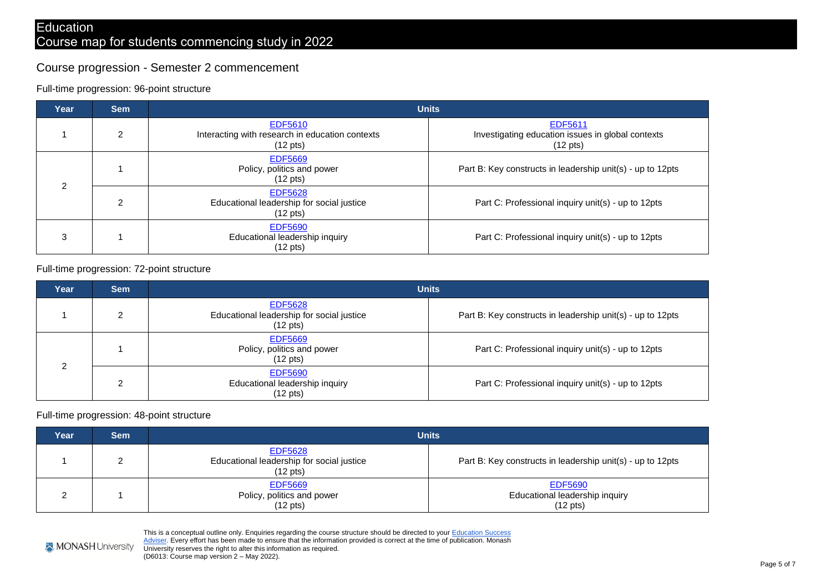### Course progression - Semester 2 commencement

### Full-time progression: 96-point structure

| Year                | <b>Sem</b> | <b>Units</b>                                                                            |                                                                                           |
|---------------------|------------|-----------------------------------------------------------------------------------------|-------------------------------------------------------------------------------------------|
|                     | 2          | <b>EDF5610</b><br>Interacting with research in education contexts<br>$(12 \text{ pts})$ | <b>EDF5611</b><br>Investigating education issues in global contexts<br>$(12 \text{ pts})$ |
| ົ<br>$\overline{2}$ |            | <b>EDF5669</b><br>Policy, politics and power<br>$(12 \text{ pts})$                      | Part B: Key constructs in leadership unit(s) - up to 12pts                                |
|                     |            | <b>EDF5628</b><br>Educational leadership for social justice<br>$(12 \text{ pts})$       | Part C: Professional inquiry unit(s) - up to 12pts                                        |
| 3                   |            | <b>EDF5690</b><br>Educational leadership inquiry<br>$(12 \text{ pts})$                  | Part C: Professional inquiry unit(s) - up to 12pts                                        |

### Full-time progression: 72-point structure

| Year | <b>Sem</b> |                                                                                   | <b>Units</b>                                               |
|------|------------|-----------------------------------------------------------------------------------|------------------------------------------------------------|
|      | ◠          | <b>EDF5628</b><br>Educational leadership for social justice<br>$(12 \text{ pts})$ | Part B: Key constructs in leadership unit(s) - up to 12pts |
| ົ    |            | <b>EDF5669</b><br>Policy, politics and power<br>$(12 \text{ pts})$                | Part C: Professional inquiry unit(s) - up to 12pts         |
|      | ົ          | <b>EDF5690</b><br>Educational leadership inquiry<br>$(12 \text{ pts})$            | Part C: Professional inquiry unit(s) - up to 12pts         |

#### Full-time progression: 48-point structure

| Year | Sem |                                                                                   | Units                                                                  |
|------|-----|-----------------------------------------------------------------------------------|------------------------------------------------------------------------|
|      |     | <b>EDF5628</b><br>Educational leadership for social justice<br>$(12 \text{ pts})$ | Part B: Key constructs in leadership unit(s) - up to 12pts             |
|      |     | <b>EDF5669</b><br>Policy, politics and power<br>$(12 \text{ pts})$                | <b>EDF5690</b><br>Educational leadership inquiry<br>$(12 \text{ pts})$ |

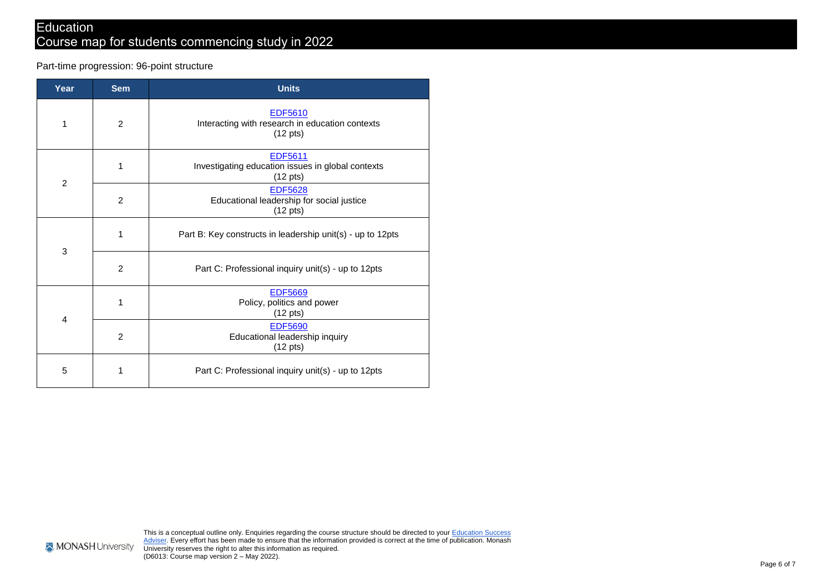# Course map for students commencing study in 2022

Part-time progression: 96-point structure

| Year           | <b>Sem</b> | <b>Units</b>                                                                              |
|----------------|------------|-------------------------------------------------------------------------------------------|
| 1              | 2          | <b>EDF5610</b><br>Interacting with research in education contexts<br>$(12 \text{ pts})$   |
| $\overline{2}$ | 1          | <b>EDF5611</b><br>Investigating education issues in global contexts<br>$(12 \text{ pts})$ |
|                | 2          | <b>EDF5628</b><br>Educational leadership for social justice<br>$(12 \text{ pts})$         |
| 3              | 1          | Part B: Key constructs in leadership unit(s) - up to 12pts                                |
|                | 2          | Part C: Professional inquiry unit(s) - up to 12pts                                        |
| 4              | 1          | <b>EDF5669</b><br>Policy, politics and power<br>$(12 \text{ pts})$                        |
|                | 2          | <b>EDF5690</b><br>Educational leadership inquiry<br>$(12 \text{ pts})$                    |
| 5              | 1          | Part C: Professional inquiry unit(s) - up to 12pts                                        |

**MONASH** University